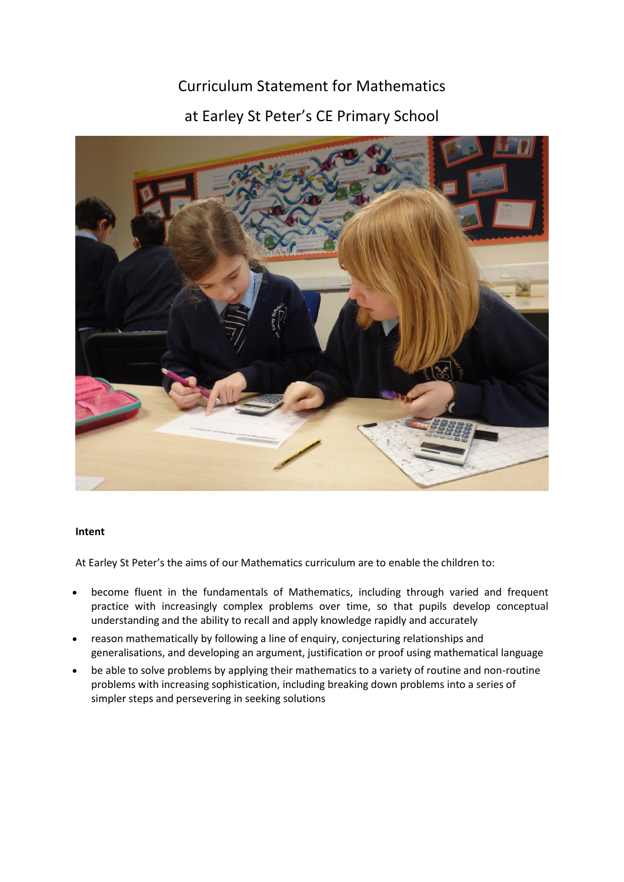## Curriculum Statement for Mathematics

# at Earley St Peter's CE Primary School



### **Intent**

At Earley St Peter's the aims of our Mathematics curriculum are to enable the children to:

- become fluent in the fundamentals of Mathematics, including through varied and frequent practice with increasingly complex problems over time, so that pupils develop conceptual understanding and the ability to recall and apply knowledge rapidly and accurately
- reason mathematically by following a line of enquiry, conjecturing relationships and generalisations, and developing an argument, justification or proof using mathematical language
- be able to solve problems by applying their mathematics to a variety of routine and non-routine problems with increasing sophistication, including breaking down problems into a series of simpler steps and persevering in seeking solutions